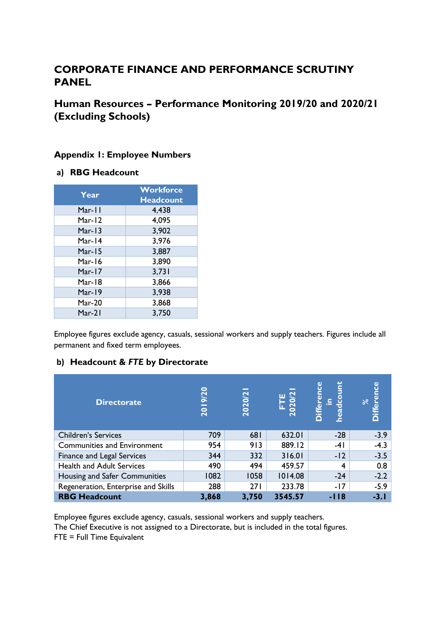# **CORPORATE FINANCE AND PERFORMANCE SCRUTINY PANEL**

**Human Resources – Performance Monitoring 2019/20 and 2020/21 (Excluding Schools)**

### **Appendix 1: Employee Numbers**

### **a) RBG Headcount**

| Year      | <b>Workforce</b><br><b>Headcount</b> |
|-----------|--------------------------------------|
| Mar-11    | 4,438                                |
| Mar-12    | 4,095                                |
| Mar-13    | 3,902                                |
| Mar-14    | 3,976                                |
| Mar-15    | 3,887                                |
| Mar-16    | 3,890                                |
| Mar-17    | 3,731                                |
| Mar-18    | 3,866                                |
| Mar-19    | 3,938                                |
| Mar- $20$ | 3,868                                |
| Mar-21    | 3,750                                |

Employee figures exclude agency, casuals, sessional workers and supply teachers. Figures include all permanent and fixed term employees.

### **b) Headcount &** *FTE* **by Directorate**

| <b>Directorate</b>                  | 9/20<br>$\overline{20}$ | 2020/2 | à<br>$\bar{\mathbf{S}}$ | ū<br><b>ifferen</b><br>ပ္ပ<br>ſ9<br>Δ | ပ္ပ<br>Ο |
|-------------------------------------|-------------------------|--------|-------------------------|---------------------------------------|----------|
| <b>Children's Services</b>          | 709                     | 681    | 632.01                  | $-28$                                 | $-3.9$   |
| <b>Communities and Environment</b>  | 954                     | 913    | 889.12                  | $-41$                                 | $-4.3$   |
| Finance and Legal Services          | 344                     | 332    | 316.01                  | $-12$                                 | $-3.5$   |
| <b>Health and Adult Services</b>    | 490                     | 494    | 459.57                  | 4                                     | 0.8      |
| Housing and Safer Communities       | 1082                    | 1058   | 1014.08                 | $-24$                                 | $-2.2$   |
| Regeneration, Enterprise and Skills | 288                     | 271    | 233.78                  | $-17$                                 | $-5.9$   |
| <b>RBG Headcount</b>                | 3,868                   | 3,750  | 3545.57                 | -118                                  | $-3.1$   |

Employee figures exclude agency, casuals, sessional workers and supply teachers. The Chief Executive is not assigned to a Directorate, but is included in the total figures. FTE = Full Time Equivalent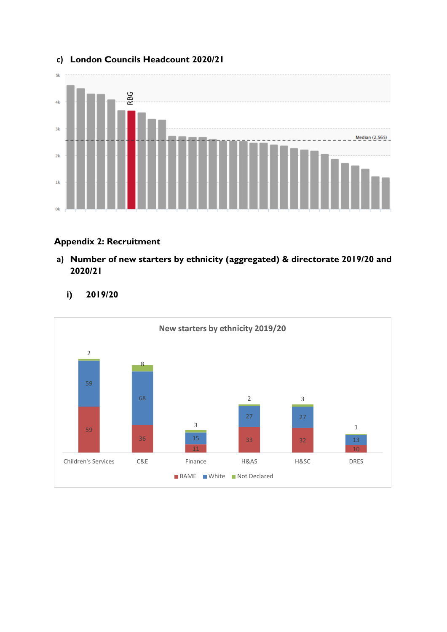

# **c) London Councils Headcount 2020/21**

### **Appendix 2: Recruitment**

**a) Number of new starters by ethnicity (aggregated) & directorate 2019/20 and 2020/21**



**i) 2019/20**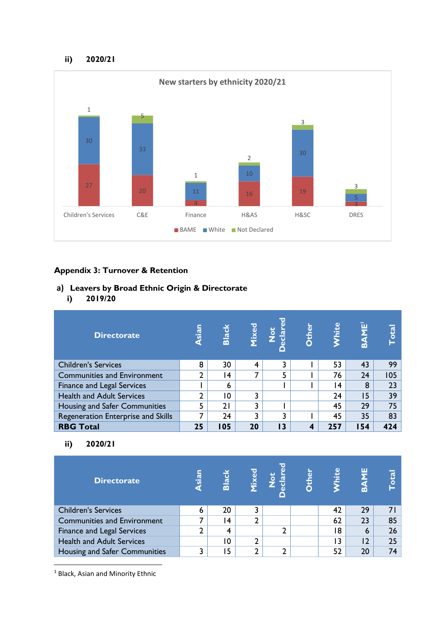#### **ii) 2020/21**



### **Appendix 3: Turnover & Retention**

- **a) Leavers by Broad Ethnic Origin & Directorate**
	- **i) 2019/20**

| <b>Directorate</b>                 | sian<br>э | <b>Black</b> | <b>fixed</b> | $\frac{5}{2}$<br>$\frac{a}{a}$ | <b>Other</b> | <b>Vhite</b> | $\bar{\mathbf{z}}$<br>ത് | <b>Lotal</b> |
|------------------------------------|-----------|--------------|--------------|--------------------------------|--------------|--------------|--------------------------|--------------|
| <b>Children's Services</b>         | 8         | 30           | 4            |                                |              | 53           | 43                       | 99           |
| <b>Communities and Environment</b> | ∍         | 14           |              | 5                              |              | 76           | 24                       | 105          |
| <b>Finance and Legal Services</b>  |           | 6            |              |                                |              | 14           | 8                        | 23           |
| <b>Health and Adult Services</b>   | ົາ        | 10           | ٦            |                                |              | 24           | 15                       | 39           |
| Housing and Safer Communities      | 5         | 21           | C.           |                                |              | 45           | 29                       | 75           |
| Regeneration Enterprise and Skills |           | 24           |              |                                |              | 45           | 35                       | 83           |
| <b>RBG Total</b>                   | 25        | 105          | 20           | 3.                             |              | 257          | 54                       | 424          |

### **ii) 2020/21**

| <b>Directorate</b>                 | siar<br>×. | Black | <b>1ixed</b> | <b>787</b><br>$\tilde{\mathbf{g}}$ | <b>Dther</b> | <b>Thite</b> | ш<br>m | $\overline{\text{at}}$ |
|------------------------------------|------------|-------|--------------|------------------------------------|--------------|--------------|--------|------------------------|
| <b>Children's Services</b>         | 6          | 20    |              |                                    |              | 42           | 29     |                        |
| <b>Communities and Environment</b> |            | 14    | ∍            |                                    |              | 62           | 23     | 85                     |
| <b>Finance and Legal Services</b>  |            | 4     |              |                                    |              | 18           | 6      | 26                     |
| <b>Health and Adult Services</b>   |            | 10    |              |                                    |              | 3            | 12     | 25                     |
| Housing and Safer Communities      | 3          | 15    | ົາ           | ◠                                  |              | 52           | 20     | 74                     |

<sup>1</sup> Black, Asian and Minority Ethnic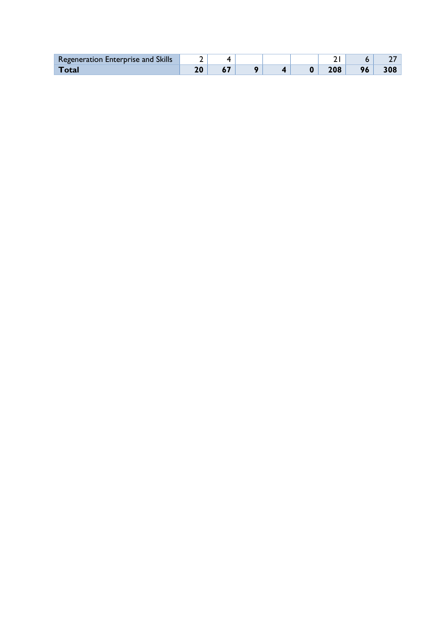| <b>Regeneration Enterprise and Skills</b> |  |  |  |    |  |
|-------------------------------------------|--|--|--|----|--|
| ั∩f:ว                                     |  |  |  | 96 |  |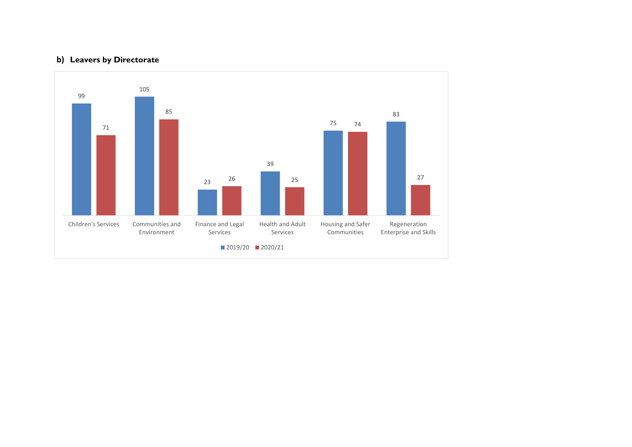### **b) Leavers by Directorate**

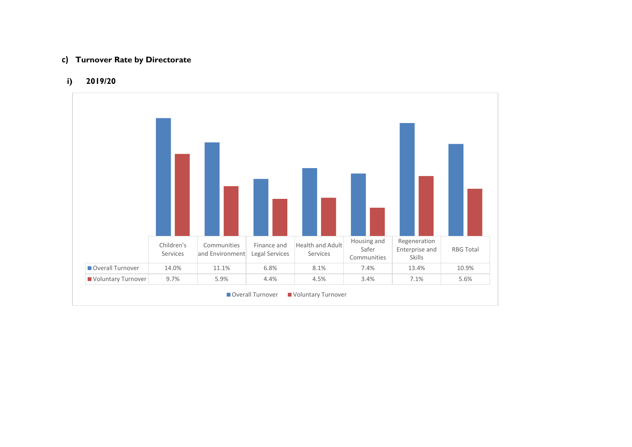#### **c) Turnover Rate by Directorate**

#### **i) 2019/20**

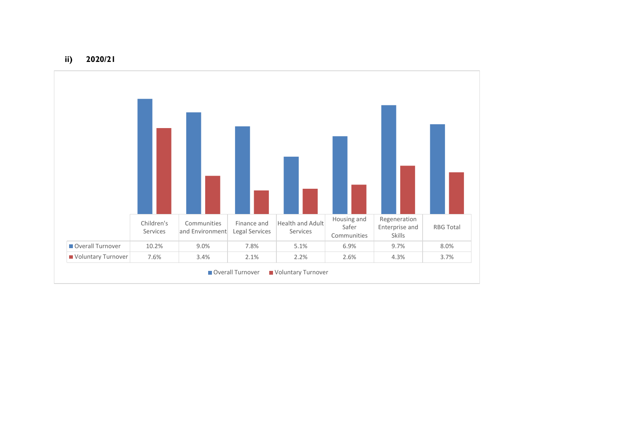**ii) 2020/21**

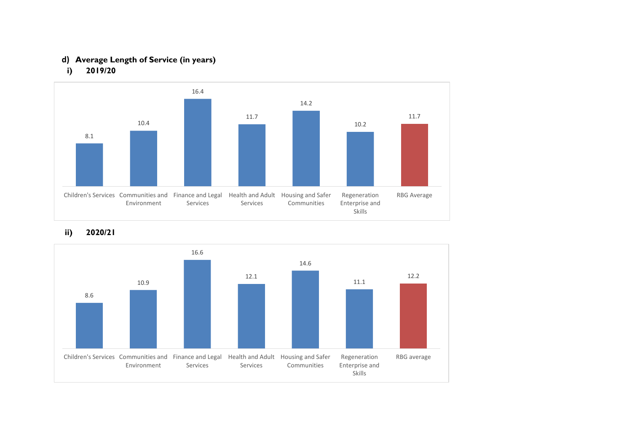# **d) Average Length of Service (in years)**





### **ii) 2020/21**

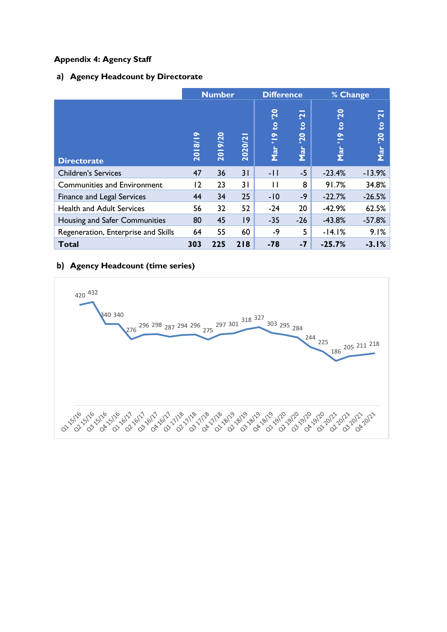### **Appendix 4: Agency Staff**

### **a) Agency Headcount by Directorate**

|                                     |                                  | <b>Number</b>            |             | <b>Difference</b>                                   |                                         | % Change                                  |                      |
|-------------------------------------|----------------------------------|--------------------------|-------------|-----------------------------------------------------|-----------------------------------------|-------------------------------------------|----------------------|
| <b>Directorate</b>                  | $\bullet$<br>$\frac{2}{3}$<br>20 | 19/20<br>$\overline{20}$ | -<br>2020/2 | $\overline{20}$<br>$\mathbf{S}$<br>$\bullet$<br>Mar | $\mathbf{\mathbf{C}}$<br>ខ<br>20<br>Mar | <b>20</b><br><b>S</b><br>$\bullet$<br>Mar | 2.<br>S<br>20<br>Mar |
| <b>Children's Services</b>          | 47                               | 36                       | 31          | -11                                                 | $-5$                                    | $-23.4%$                                  | $-13.9%$             |
| <b>Communities and Environment</b>  | 2                                | 23                       | 31          | Н                                                   | 8                                       | 91.7%                                     | 34.8%                |
| Finance and Legal Services          | 44                               | 34                       | 25          | $-10$                                               | -9                                      | $-22.7%$                                  | $-26.5%$             |
| <b>Health and Adult Services</b>    | 56                               | 32                       | 52          | $-24$                                               | 20                                      | $-42.9%$                                  | 62.5%                |
| Housing and Safer Communities       | 80                               | 45                       | 9           | $-35$                                               | $-26$                                   | $-43.8%$                                  | $-57.8%$             |
| Regeneration, Enterprise and Skills | 64                               | 55                       | 60          | -9                                                  | 5                                       | $-14.1%$                                  | 9.1%                 |
| <b>Total</b>                        | 303                              | 225                      | 218         | $-78$                                               | $-7$                                    | $-25.7%$                                  | $-3.1%$              |

### **b) Agency Headcount (time series)**

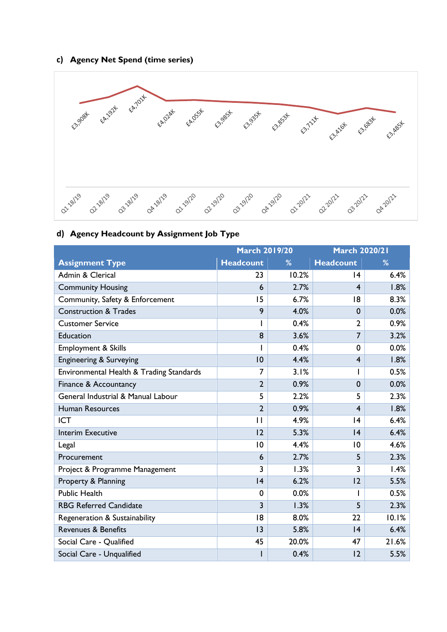### **c) Agency Net Spend (time series)**



# **d) Agency Headcount by Assignment Job Type**

|                                          | <b>March 2019/20</b> |       | <b>March 2020/21</b> |       |
|------------------------------------------|----------------------|-------|----------------------|-------|
| <b>Assignment Type</b>                   | <b>Headcount</b>     | %     | <b>Headcount</b>     | %     |
| Admin & Clerical                         | 23                   | 10.2% | 14                   | 6.4%  |
| <b>Community Housing</b>                 | 6                    | 2.7%  | $\overline{4}$       | 1.8%  |
| Community, Safety & Enforcement          | 15                   | 6.7%  | 18                   | 8.3%  |
| <b>Construction &amp; Trades</b>         | 9                    | 4.0%  | $\mathbf 0$          | 0.0%  |
| <b>Customer Service</b>                  |                      | 0.4%  | $\overline{2}$       | 0.9%  |
| Education                                | 8                    | 3.6%  | $\overline{7}$       | 3.2%  |
| Employment & Skills                      |                      | 0.4%  | 0                    | 0.0%  |
| Engineering & Surveying                  | 10                   | 4.4%  | $\overline{4}$       | 1.8%  |
| Environmental Health & Trading Standards | 7                    | 3.1%  |                      | 0.5%  |
| Finance & Accountancy                    | $\overline{2}$       | 0.9%  | $\mathbf 0$          | 0.0%  |
| General Industrial & Manual Labour       | 5                    | 2.2%  | 5                    | 2.3%  |
| <b>Human Resources</b>                   | $\overline{2}$       | 0.9%  | $\overline{4}$       | 1.8%  |
| <b>ICT</b>                               | П                    | 4.9%  | 4                    | 6.4%  |
| <b>Interim Executive</b>                 | 12                   | 5.3%  | 4                    | 6.4%  |
| Legal                                    | $\overline{0}$       | 4.4%  | 10                   | 4.6%  |
| Procurement                              | 6                    | 2.7%  | 5                    | 2.3%  |
| Project & Programme Management           | 3                    | 1.3%  | 3                    | 1.4%  |
| Property & Planning                      | 4                    | 6.2%  | 12                   | 5.5%  |
| <b>Public Health</b>                     | $\mathbf 0$          | 0.0%  |                      | 0.5%  |
| <b>RBG Referred Candidate</b>            | $\overline{3}$       | 1.3%  | 5                    | 2.3%  |
| Regeneration & Sustainability            | 18                   | 8.0%  | 22                   | 10.1% |
| <b>Revenues &amp; Benefits</b>           | 3                    | 5.8%  | 4                    | 6.4%  |
| Social Care - Qualified                  | 45                   | 20.0% | 47                   | 21.6% |
| Social Care - Unqualified                |                      | 0.4%  | 12                   | 5.5%  |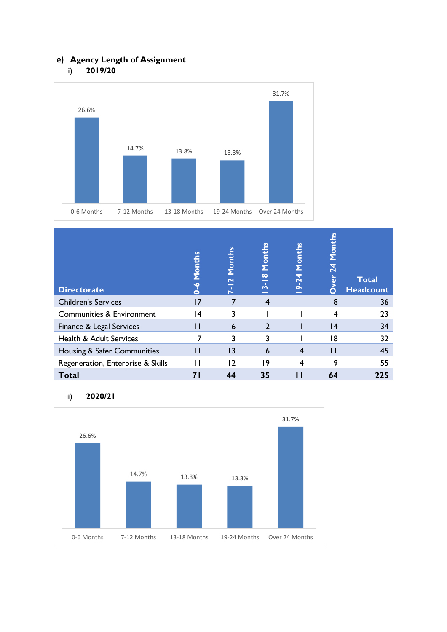# **e) Agency Length of Assignment**

i) **2019/20**



| <b>Directorate</b>                   | Months       | Months<br>$\overline{\mathbf{C}}$<br>×<br>N | Months<br>$\mathbf{\underline{\infty}}$<br><u>ന്</u> | Months<br>$-24$<br>₫ | Months<br>ة<br>O | <b>Total</b><br><b>Headcount</b> |
|--------------------------------------|--------------|---------------------------------------------|------------------------------------------------------|----------------------|------------------|----------------------------------|
| <b>Children's Services</b>           | 17           |                                             | 4                                                    |                      | 8                | 36                               |
| <b>Communities &amp; Environment</b> | 14           | 3                                           |                                                      |                      |                  | 23                               |
| Finance & Legal Services             | Н            | 6                                           | $\mathcal{P}$                                        |                      | 4                | 34                               |
| <b>Health &amp; Adult Services</b>   |              |                                             | 3                                                    |                      | 18               | 32                               |
| Housing & Safer Communities          | $\mathsf{L}$ | 13                                          | 6                                                    | 4                    | Н                | 45                               |
| Regeneration, Enterprise & Skills    | Н            | 12                                          | 19                                                   |                      | 9                | 55                               |
| <b>Total</b>                         |              | 44                                          | 35                                                   |                      | 64               | 225                              |

### ii) **2020/21**

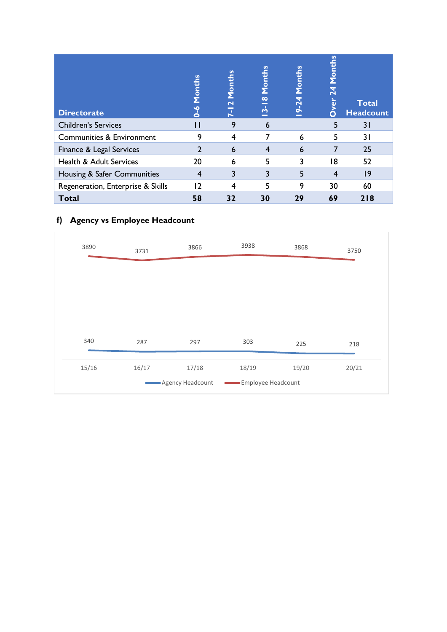| <b>Directorate</b>                   | Months | Months<br>$\mathbf{\sim}$<br>N | Months<br>$\infty$<br>m | Months<br>$-24$ | <u>SU</u><br>Mont<br>ò | <b>Total</b><br><b>Headcount</b> |
|--------------------------------------|--------|--------------------------------|-------------------------|-----------------|------------------------|----------------------------------|
| <b>Children's Services</b>           |        | 9                              | 6                       |                 | 5                      | 31                               |
| <b>Communities &amp; Environment</b> | 9      | 4                              |                         | 6               | 5                      | 31                               |
| Finance & Legal Services             |        | 6                              | 4                       | 6               |                        | 25                               |
| <b>Health &amp; Adult Services</b>   | 20     | 6                              | 5                       | 3               | 18                     | 52                               |
| Housing & Safer Communities          | 4      | 3                              | 3                       | 5               | 4                      | 19                               |
| Regeneration, Enterprise & Skills    | 12     | 4                              | 5                       | 9               | 30                     | 60                               |
| <b>Total</b>                         | 58     | 32                             | 30                      | 29              | 69                     | 218                              |

# **f) Agency vs Employee Headcount**

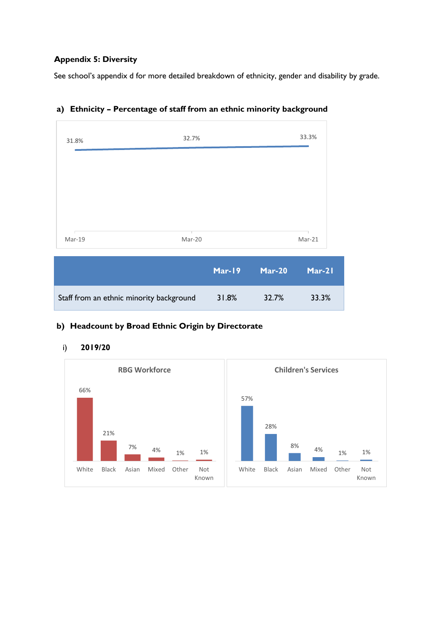### **Appendix 5: Diversity**

See school's appendix d for more detailed breakdown of ethnicity, gender and disability by grade.

| 32.7%<br>31.8%                           |               |               | 33.3%  |
|------------------------------------------|---------------|---------------|--------|
| Mar-19<br>Mar-20                         |               |               | Mar-21 |
|                                          | <b>Mar-19</b> | <b>Mar-20</b> | Mar-21 |
| Staff from an ethnic minority background | 31.8%         | 32.7%         | 33.3%  |

### **a) Ethnicity – Percentage of staff from an ethnic minority background**

### **b) Headcount by Broad Ethnic Origin by Directorate**



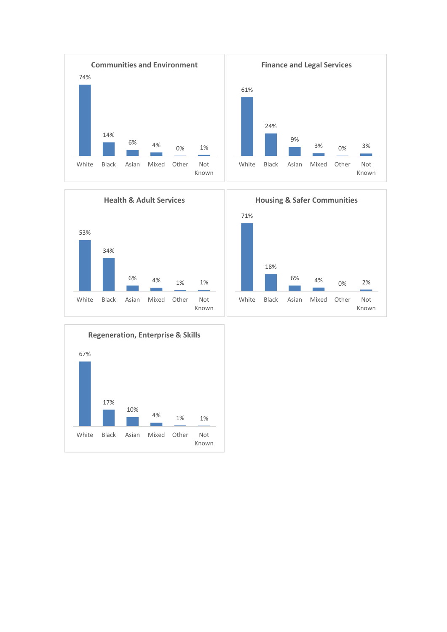





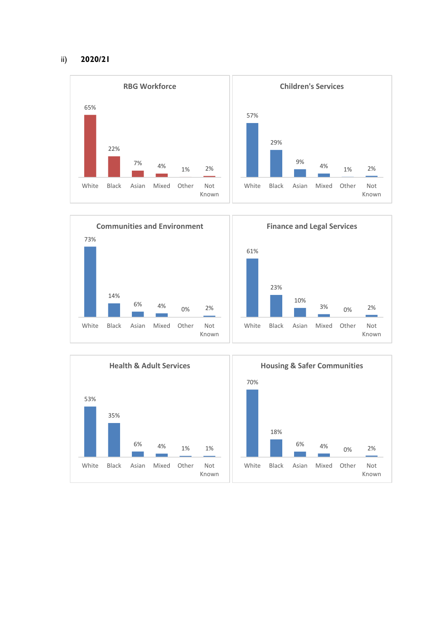#### ii) **2020/21**





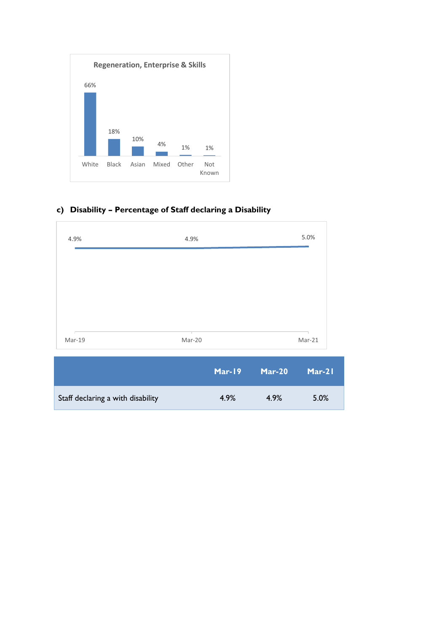

# **c) Disability – Percentage of Staff declaring a Disability**



|                                   | Mar-19 | Mar-20 | $Mar-21$ |
|-----------------------------------|--------|--------|----------|
| Staff declaring a with disability | 4.9%   | 4.9%   | 5.0%     |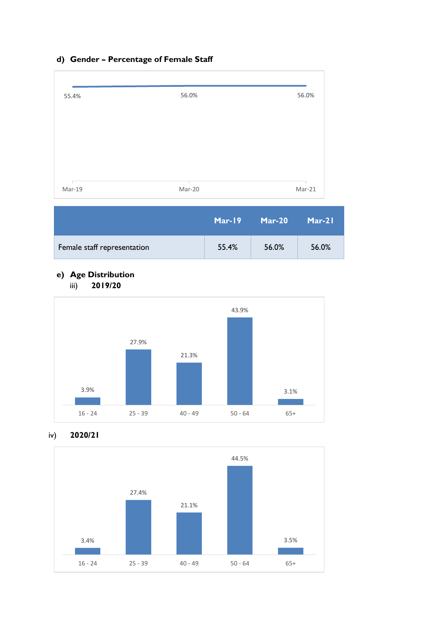# **d) Gender – Percentage of Female Staff**

| 55.4%  | 56.0%  | 56.0%  |
|--------|--------|--------|
|        |        |        |
|        |        |        |
|        |        |        |
|        |        |        |
|        |        |        |
| Mar-19 | Mar-20 | Mar-21 |

|                             | Mar-19 | Mar-20 ' | $Mar-21$ |
|-----------------------------|--------|----------|----------|
| Female staff representation | 55.4%  | 56.0%    | 56.0%    |

### **e) Age Distribution** iii) **2019/20**



### iv) **2020/21**

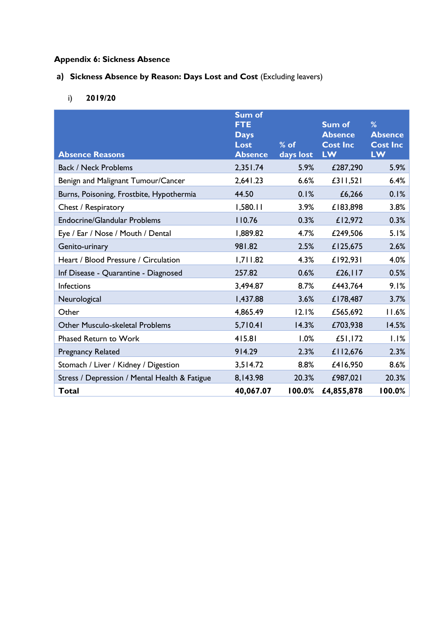# **Appendix 6: Sickness Absence**

# a) **Sickness Absence by Reason: Days Lost and Cost** (Excluding leavers)

i) **2019/20**

|                                               | <b>Sum of</b><br><b>FTE</b><br><b>Days</b> |                     | <b>Sum of</b><br><b>Absence</b> | %<br><b>Absence</b>          |
|-----------------------------------------------|--------------------------------------------|---------------------|---------------------------------|------------------------------|
| <b>Absence Reasons</b>                        | Lost<br><b>Absence</b>                     | $%$ of<br>days lost | <b>Cost Inc</b><br>LW           | <b>Cost Inc</b><br><b>LW</b> |
| <b>Back / Neck Problems</b>                   | 2,351.74                                   | 5.9%                | £287,290                        | 5.9%                         |
| Benign and Malignant Tumour/Cancer            | 2,641.23                                   | 6.6%                | £311,521                        | 6.4%                         |
| Burns, Poisoning, Frostbite, Hypothermia      | 44.50                                      | 0.1%                | £6,266                          | 0.1%                         |
| Chest / Respiratory                           | 1,580.11                                   | 3.9%                | £183,898                        | 3.8%                         |
| <b>Endocrine/Glandular Problems</b>           | 110.76                                     | 0.3%                | £12,972                         | 0.3%                         |
| Eye / Ear / Nose / Mouth / Dental             | 1,889.82                                   | 4.7%                | £249,506                        | 5.1%                         |
| Genito-urinary                                | 981.82                                     | 2.5%                | £125,675                        | 2.6%                         |
| Heart / Blood Pressure / Circulation          | 1,711.82                                   | 4.3%                | £192,931                        | 4.0%                         |
| Inf Disease - Quarantine - Diagnosed          | 257.82                                     | 0.6%                | £26, $117$                      | 0.5%                         |
| Infections                                    | 3,494.87                                   | 8.7%                | £443,764                        | 9.1%                         |
| Neurological                                  | 1,437.88                                   | 3.6%                | £178,487                        | 3.7%                         |
| Other                                         | 4,865.49                                   | 12.1%               | £565,692                        | 11.6%                        |
| Other Musculo-skeletal Problems               | 5,710.41                                   | 14.3%               | £703,938                        | 14.5%                        |
| Phased Return to Work                         | 415.81                                     | 1.0%                | £51,172                         | 1.1%                         |
| <b>Pregnancy Related</b>                      | 914.29                                     | 2.3%                | £112,676                        | 2.3%                         |
| Stomach / Liver / Kidney / Digestion          | 3,514.72                                   | 8.8%                | £416,950                        | 8.6%                         |
| Stress / Depression / Mental Health & Fatigue | 8,143.98                                   | 20.3%               | £987,021                        | 20.3%                        |
| <b>Total</b>                                  | 40,067.07                                  | 100.0%              | £4,855,878                      | 100.0%                       |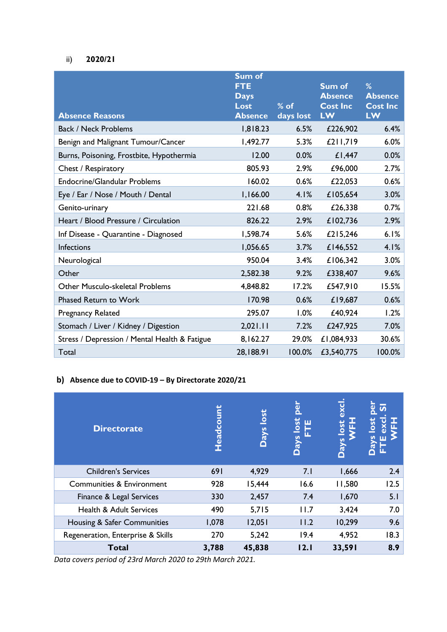### ii) **2020/21**

|                                               | <b>Sum of</b><br><b>FTE</b><br><b>Days</b><br>Lost | $%$ of    | <b>Sum of</b><br><b>Absence</b><br><b>Cost Inc</b> | %<br><b>Absence</b><br><b>Cost Inc</b> |
|-----------------------------------------------|----------------------------------------------------|-----------|----------------------------------------------------|----------------------------------------|
| <b>Absence Reasons</b>                        | <b>Absence</b>                                     | days lost | <b>LW</b>                                          | <b>LW</b>                              |
| <b>Back / Neck Problems</b>                   | 1,818.23                                           | 6.5%      | £226,902                                           | 6.4%                                   |
| Benign and Malignant Tumour/Cancer            | 1,492.77                                           | 5.3%      | £211,719                                           | 6.0%                                   |
| Burns, Poisoning, Frostbite, Hypothermia      | 12.00                                              | 0.0%      | £1,447                                             | 0.0%                                   |
| Chest / Respiratory                           | 805.93                                             | 2.9%      | £96,000                                            | 2.7%                                   |
| <b>Endocrine/Glandular Problems</b>           | 160.02                                             | 0.6%      | £22,053                                            | 0.6%                                   |
| Eye / Ear / Nose / Mouth / Dental             | 1,166.00                                           | 4.1%      | £105,654                                           | 3.0%                                   |
| Genito-urinary                                | 221.68                                             | 0.8%      | £26,338                                            | 0.7%                                   |
| Heart / Blood Pressure / Circulation          | 826.22                                             | 2.9%      | £102,736                                           | 2.9%                                   |
| Inf Disease - Quarantine - Diagnosed          | 1,598.74                                           | 5.6%      | £215,246                                           | 6.1%                                   |
| Infections                                    | 1,056.65                                           | 3.7%      | £146,552                                           | 4.1%                                   |
| Neurological                                  | 950.04                                             | 3.4%      | £106,342                                           | 3.0%                                   |
| Other                                         | 2,582.38                                           | 9.2%      | £338,407                                           | 9.6%                                   |
| Other Musculo-skeletal Problems               | 4,848.82                                           | 17.2%     | £547,910                                           | 15.5%                                  |
| <b>Phased Return to Work</b>                  | 170.98                                             | 0.6%      | £19,687                                            | 0.6%                                   |
| <b>Pregnancy Related</b>                      | 295.07                                             | 1.0%      | £40,924                                            | 1.2%                                   |
| Stomach / Liver / Kidney / Digestion          | 2,021.11                                           | 7.2%      | £247,925                                           | 7.0%                                   |
| Stress / Depression / Mental Health & Fatigue | 8,162.27                                           | 29.0%     | £1,084,933                                         | 30.6%                                  |
| Total                                         | 28,188.91                                          | 100.0%    | £3,540,775                                         | 100.0%                                 |

### **b) Absence due to COVID-19 – By Directorate 2020/21**

| <b>Directorate</b>                   | Headcount | lost<br>Days | led<br>ш<br>isol<br>h<br>λεQ | ω<br>lost<br>ົສ<br>O | <u>ທ</u><br>excl<br>體<br><u>iso</u> |
|--------------------------------------|-----------|--------------|------------------------------|----------------------|-------------------------------------|
| <b>Children's Services</b>           | 691       | 4,929        | 7.1                          | 1,666                | 2.4                                 |
| <b>Communities &amp; Environment</b> | 928       | 15,444       | 16.6                         | 11,580               | 12.5                                |
| Finance & Legal Services             | 330       | 2,457        | 7.4                          | 1,670                | 5.1                                 |
| <b>Health &amp; Adult Services</b>   | 490       | 5,715        | 11.7                         | 3,424                | 7.0                                 |
| Housing & Safer Communities          | 1,078     | 12,051       | 11.2                         | 10,299               | 9.6                                 |
| Regeneration, Enterprise & Skills    | 270       | 5,242        | 19.4                         | 4,952                | 18.3                                |
| <b>Total</b>                         | 3,788     | 45,838       | 12.1                         | 33,591               | 8.9                                 |

*Data covers period of 23rd March 2020 to 29th March 2021.*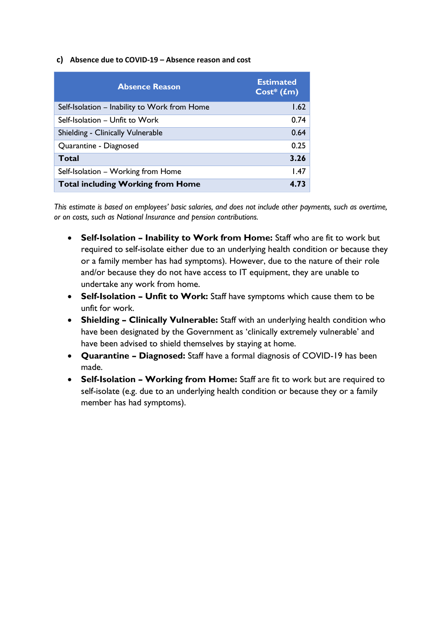#### **c) Absence due to COVID-19 – Absence reason and cost**

| <b>Absence Reason</b>                        | <b>Estimated</b><br>$Cost* (fm)$ |
|----------------------------------------------|----------------------------------|
| Self-Isolation - Inability to Work from Home | 1.62                             |
| Self-Isolation - Unfit to Work               | 0.74                             |
| Shielding - Clinically Vulnerable            | 0.64                             |
| Quarantine - Diagnosed                       | 0.25                             |
| Total                                        | 3.26                             |
| Self-Isolation - Working from Home           | 1.47                             |
| <b>Total including Working from Home</b>     | 4.73                             |

*This estimate is based on employees' basic salaries, and does not include other payments, such as overtime, or on costs, such as National Insurance and pension contributions.*

- **Self-Isolation – Inability to Work from Home:** Staff who are fit to work but required to self-isolate either due to an underlying health condition or because they or a family member has had symptoms). However, due to the nature of their role and/or because they do not have access to IT equipment, they are unable to undertake any work from home.
- **Self-Isolation – Unfit to Work:** Staff have symptoms which cause them to be unfit for work.
- **Shielding – Clinically Vulnerable:** Staff with an underlying health condition who have been designated by the Government as 'clinically extremely vulnerable' and have been advised to shield themselves by staying at home.
- **Quarantine – Diagnosed:** Staff have a formal diagnosis of COVID-19 has been made.
- **Self-Isolation – Working from Home:** Staff are fit to work but are required to self-isolate (e.g. due to an underlying health condition or because they or a family member has had symptoms).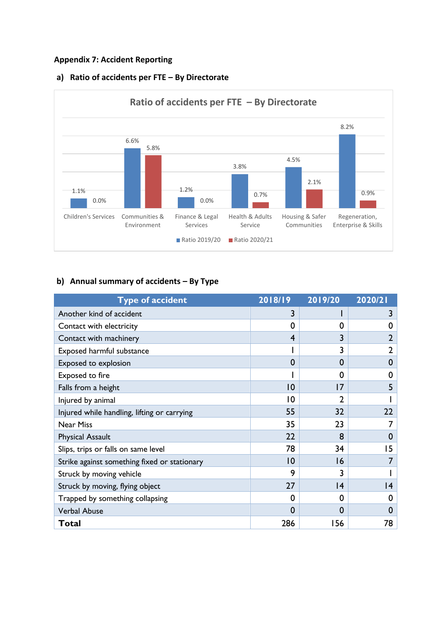### **Appendix 7: Accident Reporting**



### **a) Ratio of accidents per FTE – By Directorate**

### **b) Annual summary of accidents – By Type**

| <b>Type of accident</b>                      | 2018/19         | 2019/20  | 2020/21 |
|----------------------------------------------|-----------------|----------|---------|
| Another kind of accident                     |                 |          |         |
| Contact with electricity                     | $\Omega$        | 0        | 0       |
| Contact with machinery                       | 4               | 3        | 2       |
| Exposed harmful substance                    |                 | 3        | 2       |
| Exposed to explosion                         | 0               | $\bf{0}$ | O       |
| Exposed to fire                              |                 | 0        | O       |
| Falls from a height                          | $\overline{10}$ | 7        | 5       |
| Injured by animal                            | $\overline{0}$  | 2        |         |
| Injured while handling, lifting or carrying  | 55              | 32       | 22      |
| <b>Near Miss</b>                             | 35              | 23       |         |
| <b>Physical Assault</b>                      | 22              | 8        | O       |
| Slips, trips or falls on same level          | 78              | 34       | 15      |
| Strike against something fixed or stationary | 10              | 6        |         |
| Struck by moving vehicle                     | 9               | 3        |         |
| Struck by moving, flying object              | 27              | 4        | 14      |
| Trapped by something collapsing              | 0               | O        |         |
| <b>Verbal Abuse</b>                          | $\Omega$        | 0        |         |
| Total                                        | 286             | 156      | 78      |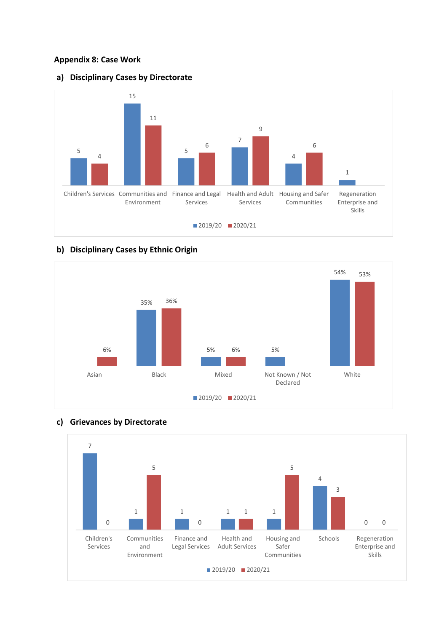### **Appendix 8: Case Work**

#### **a) Disciplinary Cases by Directorate**



### **b) Disciplinary Cases by Ethnic Origin**





### **c) Grievances by Directorate**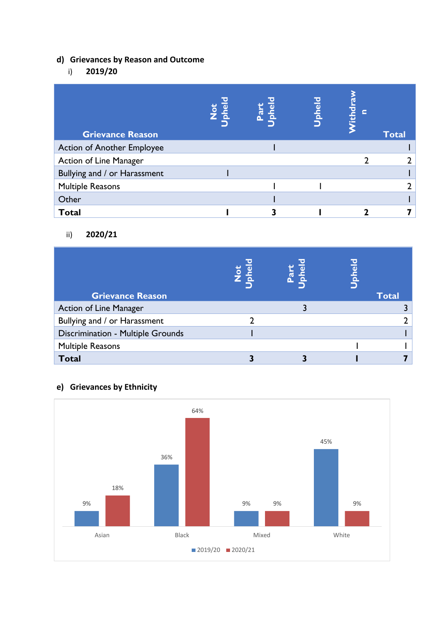# **d) Grievances by Reason and Outcome**

# i) **2019/20**

| <b>Grievance Reason</b>           | Not<br>phel | $\omega$<br><b>Fa</b> | <b>Upheld</b> | <u>ithd</u><br>c | <b>Total</b> |
|-----------------------------------|-------------|-----------------------|---------------|------------------|--------------|
| <b>Action of Another Employee</b> |             |                       |               |                  |              |
| Action of Line Manager            |             |                       |               |                  |              |
| Bullying and / or Harassment      |             |                       |               |                  |              |
| <b>Multiple Reasons</b>           |             |                       |               |                  |              |
| Other                             |             |                       |               |                  |              |
| <b>Total</b>                      |             |                       |               |                  |              |

### ii) **2020/21**

| <b>Grievance Reason</b>           | $\frac{1}{2}$ | Part<br>phel | Upheld | <b>Total</b> |
|-----------------------------------|---------------|--------------|--------|--------------|
| <b>Action of Line Manager</b>     |               |              |        |              |
| Bullying and / or Harassment      |               |              |        |              |
| Discrimination - Multiple Grounds |               |              |        |              |
| <b>Multiple Reasons</b>           |               |              |        |              |
| <b>Total</b>                      |               |              |        |              |



# **e) Grievances by Ethnicity**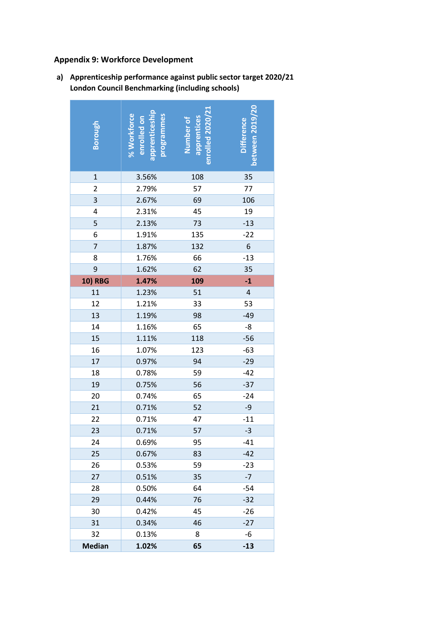### **Appendix 9: Workforce Development**

| Borough        | % Workforce<br>programmes<br>enrolled on<br>apprenticesh | enrolled 2020/21<br>apprentices<br>Number of | between 2019/20<br><b>Difference</b> |
|----------------|----------------------------------------------------------|----------------------------------------------|--------------------------------------|
| $\mathbf{1}$   | 3.56%                                                    | 108                                          | 35                                   |
| 2              | 2.79%                                                    | 57                                           | 77                                   |
| 3              | 2.67%                                                    | 69                                           | 106                                  |
| 4              | 2.31%                                                    | 45                                           | 19                                   |
| 5              | 2.13%                                                    | 73                                           | $-13$                                |
| 6              | 1.91%                                                    | 135                                          | $-22$                                |
| 7              | 1.87%                                                    | 132                                          | 6                                    |
| 8              | 1.76%                                                    | 66                                           | $-13$                                |
| 9              | 1.62%                                                    | 62                                           | 35                                   |
| <b>10) RBG</b> | 1.47%                                                    | 109                                          | $-1$                                 |
| 11             | 1.23%                                                    | 51                                           | $\overline{\mathbf{4}}$              |
| 12             | 1.21%                                                    | 33                                           | 53                                   |
| 13             | 1.19%                                                    | 98                                           | $-49$                                |
| 14             | 1.16%                                                    | 65                                           | -8                                   |
| 15             | 1.11%                                                    | 118                                          | $-56$                                |
| 16             | 1.07%                                                    | 123                                          | $-63$                                |
| 17             | 0.97%                                                    | 94                                           | $-29$                                |
| 18             | 0.78%                                                    | 59                                           | $-42$                                |
| 19             | 0.75%                                                    | 56                                           | $-37$                                |
| 20             | 0.74%                                                    | 65                                           | $-24$                                |
| 21             | 0.71%                                                    | 52                                           | $-9$                                 |
| 22             | 0.71%                                                    | 47                                           | $-11$                                |
| 23             | 0.71%                                                    | 57                                           | $-3$                                 |
| 24             | 0.69%                                                    | 95                                           | $-41$                                |
| 25             | 0.67%                                                    | 83                                           | $-42$                                |
| 26             | 0.53%                                                    | 59                                           | $-23$                                |
| 27             | 0.51%                                                    | 35                                           | $-7$                                 |
| 28             | 0.50%                                                    | 64                                           | $-54$                                |
| 29             | 0.44%                                                    | 76                                           | $-32$                                |
| 30             | 0.42%                                                    | 45                                           | $-26$                                |
| 31             | 0.34%                                                    | 46                                           | $-27$                                |
| 32             | 0.13%                                                    | 8                                            | -6                                   |
| <b>Median</b>  | 1.02%                                                    | 65                                           | $-13$                                |

**a) Apprenticeship performance against public sector target 2020/21 London Council Benchmarking (including schools)**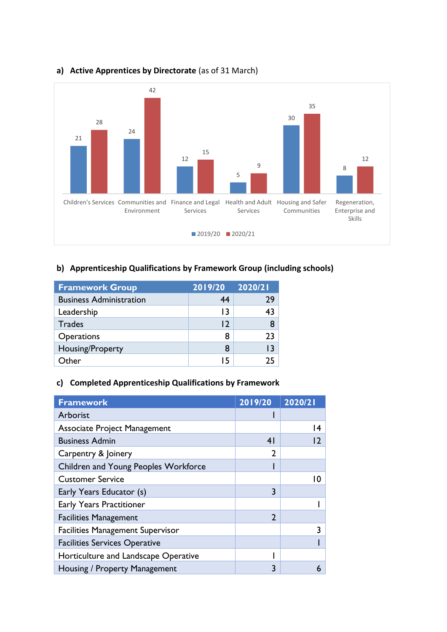

### **a) Active Apprentices by Directorate** (as of 31 March)

### **b) Apprenticeship Qualifications by Framework Group (including schools)**

| <b>Framework Group</b>         | 2019/20 | 2020/21 |
|--------------------------------|---------|---------|
| <b>Business Administration</b> | 44      | 29      |
| Leadership                     | 13      | 43      |
| <b>Trades</b>                  | 12      |         |
| Operations                     | 8       | 23      |
| Housing/Property               | 8       | 13      |
| Other                          | 15      | 75      |

### **c) Completed Apprenticeship Qualifications by Framework**

| <b>Framework</b>                        | 2019/20        | 2020/21 |
|-----------------------------------------|----------------|---------|
| Arborist                                |                |         |
| <b>Associate Project Management</b>     |                |         |
| <b>Business Admin</b>                   | 4 <sup>1</sup> |         |
| Carpentry & Joinery                     | $\mathbf{2}$   |         |
| Children and Young Peoples Workforce    |                |         |
| <b>Customer Service</b>                 |                |         |
| Early Years Educator (s)                | 3              |         |
| <b>Early Years Practitioner</b>         |                |         |
| <b>Facilities Management</b>            | $\overline{2}$ |         |
| <b>Facilities Management Supervisor</b> |                |         |
| <b>Facilities Services Operative</b>    |                |         |
| Horticulture and Landscape Operative    |                |         |
| Housing / Property Management           | 3              | 6       |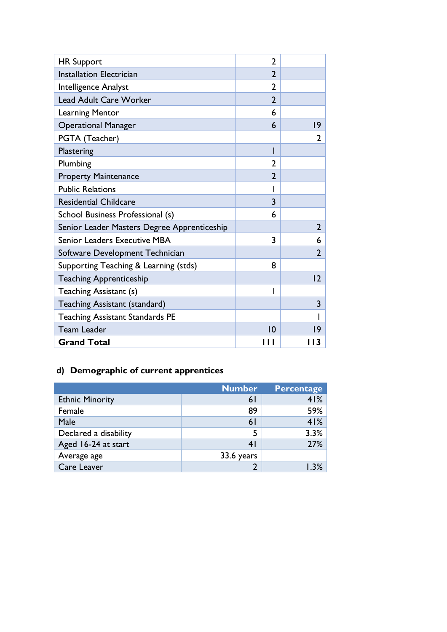| <b>HR Support</b>                           | $\overline{2}$ |                |
|---------------------------------------------|----------------|----------------|
| <b>Installation Electrician</b>             | $\overline{2}$ |                |
| Intelligence Analyst                        | $\overline{2}$ |                |
| <b>Lead Adult Care Worker</b>               | $\overline{2}$ |                |
| <b>Learning Mentor</b>                      | 6              |                |
| <b>Operational Manager</b>                  | 6              | 9              |
| PGTA (Teacher)                              |                | 2              |
| Plastering                                  | ı              |                |
| Plumbing                                    | $\overline{2}$ |                |
| <b>Property Maintenance</b>                 | $\overline{2}$ |                |
| <b>Public Relations</b>                     |                |                |
| <b>Residential Childcare</b>                | 3              |                |
| School Business Professional (s)            | 6              |                |
| Senior Leader Masters Degree Apprenticeship |                | $\overline{2}$ |
| Senior Leaders Executive MBA                | 3              | 6              |
| Software Development Technician             |                | $\overline{2}$ |
| Supporting Teaching & Learning (stds)       | 8              |                |
| <b>Teaching Apprenticeship</b>              |                | 2              |
| Teaching Assistant (s)                      |                |                |
| <b>Teaching Assistant (standard)</b>        |                | $\overline{3}$ |
| <b>Teaching Assistant Standards PE</b>      |                |                |
| <b>Team Leader</b>                          | 0              | 19             |
| <b>Grand Total</b>                          | '''            | I I 3          |

# **d) Demographic of current apprentices**

|                        | <b>Number</b>  | <b>Percentage</b> |
|------------------------|----------------|-------------------|
| <b>Ethnic Minority</b> | 6 <sup>1</sup> | 41%               |
| Female                 | 89             | 59%               |
| Male                   | 6 <sup>1</sup> | 41%               |
| Declared a disability  |                | 3.3%              |
| Aged 16-24 at start    | 4 I            | 27%               |
| Average age            | 33.6 years     |                   |
| Care Leaver            |                |                   |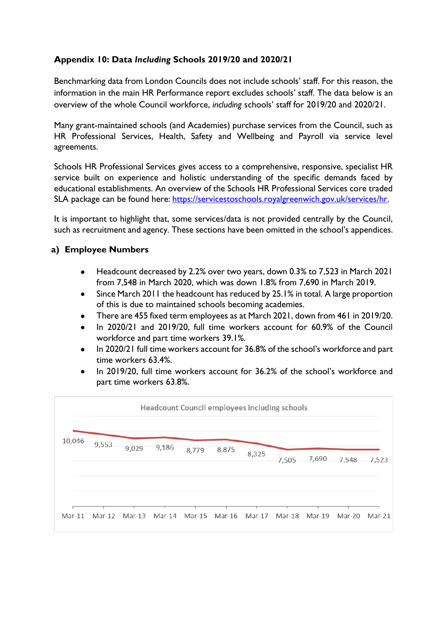# **Appendix 10: Data** *Including* **Schools 2019/20 and 2020/21**

Benchmarking data from London Councils does not include schools' staff. For this reason, the information in the main HR Performance report excludes schools' staff. The data below is an overview of the whole Council workforce, *including* schools' staff for 2019/20 and 2020/21.

Many grant-maintained schools (and Academies) purchase services from the Council, such as HR Professional Services, Health, Safety and Wellbeing and Payroll via service level agreements.

Schools HR Professional Services gives access to a comprehensive, responsive, specialist HR service built on experience and holistic understanding of the specific demands faced by educational establishments. An overview of the Schools HR Professional Services core traded SLA package can be found here: [https://servicestoschools.royalgreenwich.gov.uk/services/hr.](https://servicestoschools.royalgreenwich.gov.uk/services/hr)

It is important to highlight that, some services/data is not provided centrally by the Council, such as recruitment and agency. These sections have been omitted in the school's appendices.

### **a) Employee Numbers**

- Headcount decreased by 2.2% over two years, down 0.3% to 7,523 in March 2021 from 7,548 in March 2020, which was down 1.8% from 7,690 in March 2019.
- Since March 2011 the headcount has reduced by 25.1% in total. A large proportion of this is due to maintained schools becoming academies.
- There are 455 fixed term employees as at March 2021, down from 461 in 2019/20.
- In 2020/21 and 2019/20, full time workers account for 60.9% of the Council workforce and part time workers 39.1%.
- In 2020/21 full time workers account for 36.8% of the school's workforce and part time workers 63.4%.
- In 2019/20, full time workers account for 36.2% of the school's workforce and part time workers 63.8%.

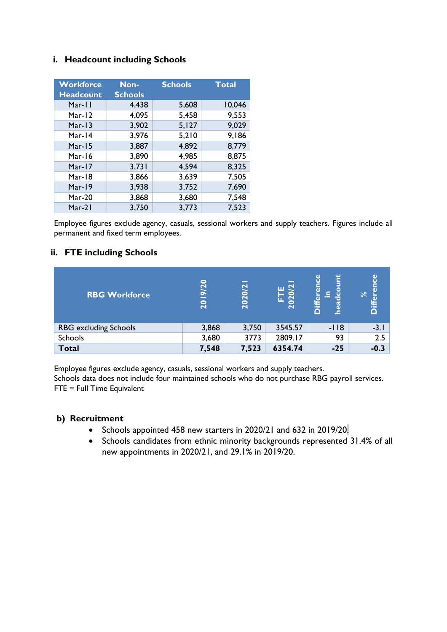### **i. Headcount including Schools**

| <b>Workforce</b> | Non-           | <b>Schools</b> | <b>Total</b> |
|------------------|----------------|----------------|--------------|
| <b>Headcount</b> | <b>Schools</b> |                |              |
| Mar-11           | 4,438          | 5,608          | 10,046       |
| Mar-12           | 4,095          | 5,458          | 9,553        |
| Mar-13           | 3,902          | 5,127          | 9,029        |
| Mar-14           | 3,976          | 5,210          | 9,186        |
| Mar-15           | 3,887          | 4,892          | 8,779        |
| Mar-16           | 3,890          | 4,985          | 8,875        |
| Mar-17           | 3,731          | 4,594          | 8,325        |
| Mar-18           | 3,866          | 3,639          | 7,505        |
| Mar-19           | 3,938          | 3,752          | 7,690        |
| $Mar-20$         | 3,868          | 3,680          | 7,548        |
| Mar-21           | 3,750          | 3,773          | 7,523        |

Employee figures exclude agency, casuals, sessional workers and supply teachers. Figures include all permanent and fixed term employees.

### **ii. FTE including Schools**

| <b>RBG Workforce</b>         | 0<br>$\bar{\mathbf{c}}$<br>ெ<br>20 | 2020/2 | ш<br>0<br>$\circ$<br>$\sim$ | ۲<br>$\omega$<br>$\omega$<br>၂၉<br>g<br>niff<br>ا<br>စ္မ | ပ္ပ<br>ā<br>$\infty$<br>à<br>ة |
|------------------------------|------------------------------------|--------|-----------------------------|----------------------------------------------------------|--------------------------------|
| <b>RBG</b> excluding Schools | 3,868                              | 3,750  | 3545.57                     | $-118$                                                   | $-3.1$                         |
| Schools                      | 3,680                              | 3773   | 2809.17                     | 93                                                       | 2.5                            |
| <b>Total</b>                 | 7,548                              | 7,523  | 6354.74                     | $-25$                                                    | $-0.3$                         |

Employee figures exclude agency, casuals, sessional workers and supply teachers. Schools data does not include four maintained schools who do not purchase RBG payroll services. FTE = Full Time Equivalent

### **b) Recruitment**

- Schools appointed 458 new starters in 2020/21 and 632 in 2019/20.
- Schools candidates from ethnic minority backgrounds represented 31.4% of all new appointments in 2020/21, and 29.1% in 2019/20.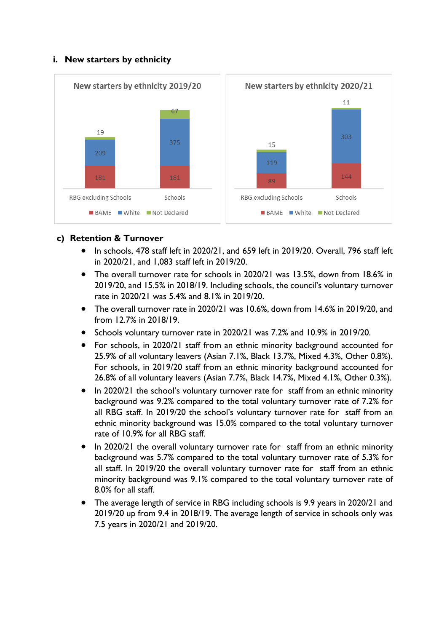### **i. New starters by ethnicity**



### **c) Retention & Turnover**

- In schools, 478 staff left in 2020/21, and 659 left in 2019/20. Overall, 796 staff left in 2020/21, and 1,083 staff left in 2019/20.
- The overall turnover rate for schools in 2020/21 was 13.5%, down from 18.6% in 2019/20, and 15.5% in 2018/19. Including schools, the council's voluntary turnover rate in 2020/21 was 5.4% and 8.1% in 2019/20.
- The overall turnover rate in 2020/21 was 10.6%, down from 14.6% in 2019/20, and from 12.7% in 2018/19.
- Schools voluntary turnover rate in 2020/21 was 7.2% and 10.9% in 2019/20.
- For schools, in 2020/21 staff from an ethnic minority background accounted for 25.9% of all voluntary leavers (Asian 7.1%, Black 13.7%, Mixed 4.3%, Other 0.8%). For schools, in 2019/20 staff from an ethnic minority background accounted for 26.8% of all voluntary leavers (Asian 7.7%, Black 14.7%, Mixed 4.1%, Other 0.3%).
- In 2020/21 the school's voluntary turnover rate for staff from an ethnic minority background was 9.2% compared to the total voluntary turnover rate of 7.2% for all RBG staff. In 2019/20 the school's voluntary turnover rate for staff from an ethnic minority background was 15.0% compared to the total voluntary turnover rate of 10.9% for all RBG staff.
- In 2020/21 the overall voluntary turnover rate for staff from an ethnic minority background was 5.7% compared to the total voluntary turnover rate of 5.3% for all staff. In 2019/20 the overall voluntary turnover rate for staff from an ethnic minority background was 9.1% compared to the total voluntary turnover rate of 8.0% for all staff.
- The average length of service in RBG including schools is 9.9 years in 2020/21 and 2019/20 up from 9.4 in 2018/19. The average length of service in schools only was 7.5 years in 2020/21 and 2019/20.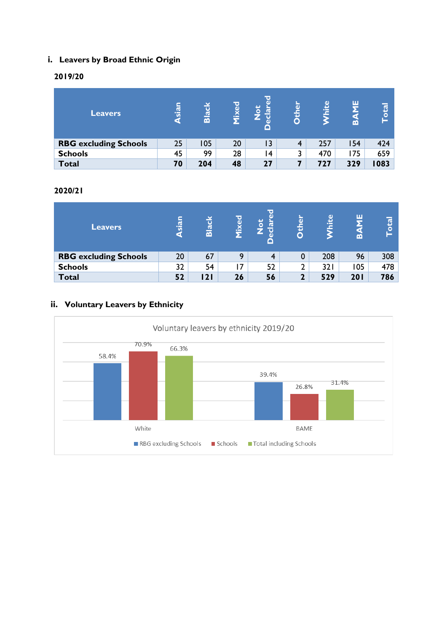# **i. Leavers by Broad Ethnic Origin**

### **2019/20**

| <b>Leavers</b>               | sian<br>G | ಡ<br>$\overline{a}$ | Mixed | ŢŌ<br>đ<br>σ<br>U<br>$\omega$<br>Δ | ⊾<br>$\omega$ | ω<br>hit | ш<br>m | $\overline{\text{total}}$ |
|------------------------------|-----------|---------------------|-------|------------------------------------|---------------|----------|--------|---------------------------|
| <b>RBG excluding Schools</b> | 25        | 105                 | 20    | $\overline{13}$                    | 4             | 257      | 154    | 424                       |
| <b>Schools</b>               | 45        | 99                  | 28    | ∣4                                 | 3             | 470      | 175    | 659                       |
| <b>Total</b>                 | 70        | 204                 | 48    | 27                                 |               | 727      | 329    | 1083                      |

### **2020/21**

| Leavers                      | <u>neis</u><br>a | ø<br>$\overline{\mathbf{m}}$ | ixed | $\mathbf{\overline{d}}$<br>Ū<br>ه<br>o | $\overline{a}$<br>O | ω<br>hit | ш<br>∞ | o<br>$\circ$ |
|------------------------------|------------------|------------------------------|------|----------------------------------------|---------------------|----------|--------|--------------|
| <b>RBG excluding Schools</b> | 20               | 67                           | 9    |                                        | 0                   | 208      | 96     | 308          |
| <b>Schools</b>               | 32               | 54                           | 17   | 52                                     | 2                   | 321      | 105    | 478          |
| <b>Total</b>                 | 52               | 21                           | 26   | 56                                     | າ                   | 529      | 201    | 786          |

# **ii. Voluntary Leavers by Ethnicity**

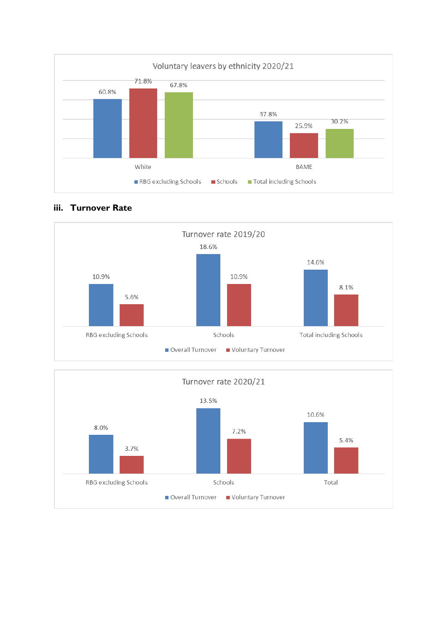





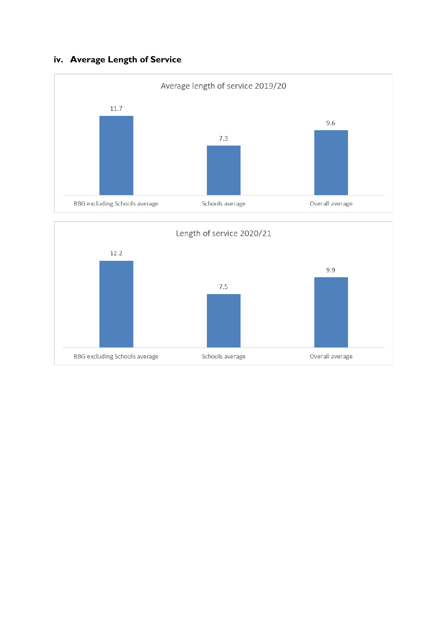# **iv. Average Length of Service**



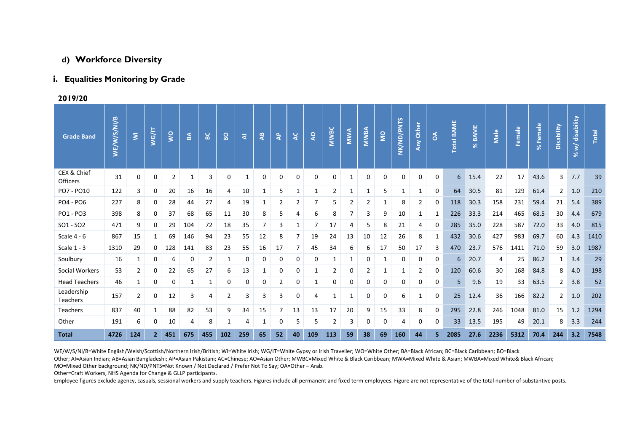#### **d) Workforce Diversity**

#### **i. Equalities Monitoring by Grade**

**2019/20**

| <b>Grade Band</b>       | WE/W/S/NI/B | $\overline{\mathbf{z}}$ | WG/IT          | $\overline{\mathsf{S}}$ | ន្ត្រ | $\overline{B}$ | $\overline{B}$ | ৱ   | $\frac{a}{4}$ | $\ddot{\mathbf{z}}$ | ¥              | Q            | <b>MWBC</b> | MWA | <b>MWBA</b>    | <b>S</b>    | NK/ND/PNTS | Any Other | $\delta$ | <b>Total BAME</b> | % BAME | Male | Female | % Female | Disability     | % w/ disability | Total |
|-------------------------|-------------|-------------------------|----------------|-------------------------|-------|----------------|----------------|-----|---------------|---------------------|----------------|--------------|-------------|-----|----------------|-------------|------------|-----------|----------|-------------------|--------|------|--------|----------|----------------|-----------------|-------|
| CEX & Chief<br>Officers | 31          | 0                       | 0              | 2                       | 1     | 3              | 0              | 1   | 0             | 0                   | 0              | 0            | 0           | 1   | 0              | $\mathbf 0$ | 0          | $\Omega$  | 0        | 6                 | 15.4   | 22   | 17     | 43.6     | 3              | 7.7             | 39    |
| PO7 - PO10              | 122         | 3                       | 0              | 20                      | 16    | 16             | 4              | 10  | 1             | 5                   | 1              | $\mathbf{1}$ | 2           | 1   | 1              | 5           | 1          |           | 0        | 64                | 30.5   | 81   | 129    | 61.4     | 2              | 1.0             | 210   |
| PO4 - PO6               | 227         | 8                       | 0              | 28                      | 44    | 27             | 4              | 19  |               | 2                   | $\overline{2}$ | 7            | 5           | 2   | $\overline{2}$ | 1           | 8          | 2         | 0        | 118               | 30.3   | 158  | 231    | 59.4     | 21             | 5.4             | 389   |
| PO1 - PO3               | 398         | 8                       | 0              | 37                      | 68    | 65             | 11             | 30  | 8             | 5                   | 4              | 6            | 8           | 7   | 3              | 9           | 10         |           | 1        | 226               | 33.3   | 214  | 465    | 68.5     | 30             | 4.4             | 679   |
| $SO1 - SO2$             | 471         | 9                       | 0              | 29                      | 104   | 72             | 18             | 35  |               | 3                   | 1              | 7            | 17          | 4   | 5              | 8           | 21         | 4         | 0        | 285               | 35.0   | 228  | 587    | 72.0     | 33             | 4.0             | 815   |
| Scale 4 - 6             | 867         | 15                      | 1              | 69                      | 146   | 94             | 23             | 55  | 12            | 8                   | 7              | 19           | 24          | 13  | 10             | 12          | 26         | 8         | 1        | 432               | 30.6   | 427  | 983    | 69.7     | 60             | 4.3             | 1410  |
| Scale $1 - 3$           | 1310        | 29                      | 0              | 128                     | 141   | 83             | 23             | 55  | 16            | 17                  | 7              | 45           | 34          | 6   | 6              | 17          | 50         | 17        | 3        | 470               | 23.7   | 576  | 1411   | 71.0     | 59             | 3.0             | 1987  |
| Soulbury                | 16          | 1                       | 0              | 6                       | 0     | 2              | 1              | 0   | 0             | 0                   | 0              | 0            | 1           | 1   | 0              |             | 0          | 0         | 0        | 6                 | 20.7   | 4    | 25     | 86.2     | 1              | 3.4             | 29    |
| Social Workers          | 53          | $\overline{2}$          | 0              | 22                      | 65    | 27             | 6              | 13  |               | 0                   | 0              | 1            | 2           | 0   | $\overline{2}$ |             | 1          | 2         | 0        | 120               | 60.6   | 30   | 168    | 84.8     | 8              | 4.0             | 198   |
| <b>Head Teachers</b>    | 46          | $\mathbf{1}$            | 0              | 0                       |       | $\mathbf{1}$   | 0              | 0   | 0             | 2                   | 0              | $\mathbf{1}$ | 0           | 0   | 0              | 0           | 0          | $\Omega$  | 0        | 5                 | 9.6    | 19   | 33     | 63.5     | $\overline{2}$ | 3.8             | 52    |
| Leadership<br>Teachers  | 157         | $\overline{2}$          | 0              | 12                      | 3     | 4              | $\overline{2}$ | 3   | 3             | 3                   | 0              | 4            | 1           | 1   | 0              | 0           | 6          | 1         | 0        | 25                | 12.4   | 36   | 166    | 82.2     | 2              | 1.0             | 202   |
| Teachers                | 837         | 40                      | 1              | 88                      | 82    | 53             | 9              | 34  | 15            |                     | 13             | 13           | 17          | 20  | 9              | 15          | 33         | 8         | 0        | 295               | 22.8   | 246  | 1048   | 81.0     | 15             | 1.2             | 1294  |
| Other                   | 191         | 6                       | 0              | 10                      | 4     | 8              | 1              | 4   | 1             | 0                   | 5              | 5            | 2           | 3   | 0              | 0           | 4          | 0         | 0        | 33                | 13.5   | 195  | 49     | 20.1     | 8              | 3.3             | 244   |
| <b>Total</b>            | 4726        | 124                     | $\overline{2}$ | 451                     | 675   | 455            | 102            | 259 | 65            | 52                  | 40             | 109          | 113         | 59  | 38             | 69          | 160        | 44        | 5.       | 2085              | 27.6   | 2236 | 5312   | 70.4     | 244            | 3.2             | 7548  |

WE/W/S/NI/B=White English/Welsh/Scottish/Northern Irish/British; WI=White Irish; WG/IT=White Gypsy or Irish Traveller; WO=White Other; BA=Black African; BC=Black Caribbean; BO=Black Other; AI=Asian Indian; AB=Asian Bangladeshi; AP=Asian Pakistani; AC=Chinese; AO=Asian Other; MWBC=Mixed White & Black Caribbean; MWA=Mixed White & Asian; MWBA=Mixed White& Black African; MO=Mixed Other background; NK/ND/PNTS=Not Known / Not Declared / Prefer Not To Say; OA=Other – Arab.

Other=Craft Workers, NHS Agenda for Change & GLLP participants.

Employee figures exclude agency, casuals, sessional workers and supply teachers. Figures include all permanent and fixed term employees. Figure are not representative of the total number of substantive posts.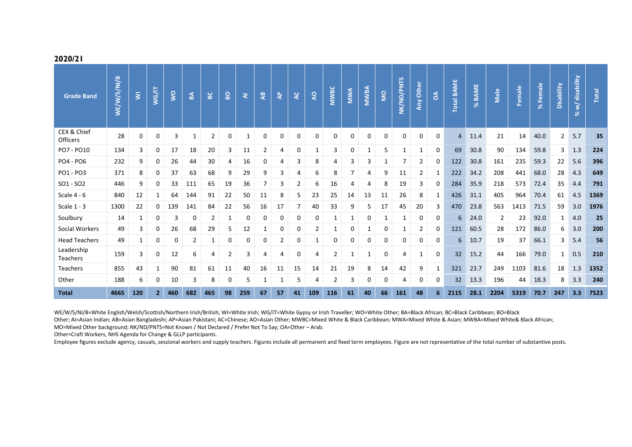| <b>Grade Band</b>             | WE/W/S/NI/B | $\overline{\mathbf{5}}$ | WG/IT          | $\overline{\mathsf{S}}$ | $\mathbf{B}$ | မ္တ | $\overline{8}$ | ₹   | $\frac{a}{4}$  | $\mathbf{a}$ | $\overline{a}$ | $\overline{Q}$ | <b>MWBC</b>    | <b>NWA</b> | <b>MWBA</b> | g        | NK/ND/PNTS | Any Other      | $\delta$ | <b>Total BAME</b> | % BAME | Male | Female | % Female | Disability     | disability<br>`≶<br>$\aleph$ | Total |
|-------------------------------|-------------|-------------------------|----------------|-------------------------|--------------|-----|----------------|-----|----------------|--------------|----------------|----------------|----------------|------------|-------------|----------|------------|----------------|----------|-------------------|--------|------|--------|----------|----------------|------------------------------|-------|
| CEX & Chief<br>Officers       | 28          | 0                       | 0              | 3                       | 1            | 2   | 0              | 1   | 0              | 0            | 0              | 0              | 0              | 0          | 0           | $\Omega$ | $\Omega$   | $\Omega$       | 0        | $\overline{4}$    | 11.4   | 21   | 14     | 40.0     | $\overline{2}$ | 5.7                          | 35    |
| PO7 - PO10                    | 134         | 3                       | 0              | 17                      | 18           | 20  | 3              | 11  | $\overline{2}$ | 4            | 0              | 1              | 3              | 0          | 1           | 5        | 1          | -1             | 0        | 69                | 30.8   | 90   | 134    | 59.8     | 3              | 1.3                          | 224   |
| PO4 - PO6                     | 232         | 9                       | 0              | 26                      | 44           | 30  | 4              | 16  | 0              | 4            | 3              | 8              | 4              | 3          | 3           |          | 7          | 2              | 0        | 122               | 30.8   | 161  | 235    | 59.3     | 22             | 5.6                          | 396   |
| PO1 - PO3                     | 371         | 8                       | 0              | 37                      | 63           | 68  | 9              | 29  | 9              | 3            | 4              | 6              | 8              | 7          | 4           | 9        | 11         | 2              |          | 222               | 34.2   | 208  | 441    | 68.0     | 28             | 4.3                          | 649   |
| $SO1 - SO2$                   | 446         | 9                       | 0              | 33                      | 111          | 65  | 19             | 36  | 7              | 3            | 2              | 6              | 16             | 4          | 4           | 8        | 19         | 3              | 0        | 284               | 35.9   | 218  | 573    | 72.4     | 35             | 4.4                          | 791   |
| Scale $4 - 6$                 | 840         | 12                      | 1              | 64                      | 144          | 91  | 22             | 50  | 11             | 8            | 5              | 23             | 25             | 14         | 13          | 11       | 26         | 8              | 1        | 426               | 31.1   | 405  | 964    | 70.4     | 61             | 4.5                          | 1369  |
| Scale $1 - 3$                 | 1300        | 22                      | 0              | 139                     | 141          | 84  | 22             | 56  | 16             | 17           | $\overline{7}$ | 40             | 33             | 9          | 5           | 17       | 45         | 20             | 3        | 470               | 23.8   | 563  | 1413   | 71.5     | 59             | 3.0                          | 1976  |
| Soulbury                      | 14          | 1                       | 0              | 3                       | 0            | 2   | 1              | 0   | 0              | 0            | 0              | 0              | 1              | 1          | 0           |          | 1          | 0              | 0        | 6.                | 24.0   | 2    | 23     | 92.0     | 1              | 4.0                          | 25    |
| Social Workers                | 49          | 3                       | 0              | 26                      | 68           | 29  | 5              | 12  | 1              | 0            | 0              | $\overline{2}$ | 1              | 0          | 1           | 0        | 1          | $\overline{2}$ | 0        | 121               | 60.5   | 28   | 172    | 86.0     | 6              | 3.0                          | 200   |
| <b>Head Teachers</b>          | 49          | 1                       | 0              | 0                       | 2            | 1   | 0              | 0   | 0              | 2            | 0              | 1              | 0              | 0          | 0           | 0        | 0          | 0              | 0        | 6                 | 10.7   | 19   | 37     | 66.1     | 3              | 5.4                          | 56    |
| Leadership<br><b>Teachers</b> | 159         | 3                       | 0              | 12                      | 6            | 4   | 2              | 3   | 4              | 4            | 0              | 4              | $\overline{2}$ | 1          | 1           | $\Omega$ | 4          | 1              | 0        | 32                | 15.2   | 44   | 166    | 79.0     | $\mathbf{1}$   | 0.5                          | 210   |
| <b>Teachers</b>               | 855         | 43                      |                | 90                      | 81           | 61  | 11             | 40  | 16             | 11           | 15             | 14             | 21             | 19         | 8           | 14       | 42         | 9              | 1        | 321               | 23.7   | 249  | 1103   | 81.6     | 18             | 1.3                          | 1352  |
| Other                         | 188         | 6                       | 0              | 10                      | 3            | 8   | 0              | 5   | 1              | 1            | 5              | 4              | $\overline{2}$ | 3          | 0           | 0        | 4          | 0              | 0        | 32                | 13.3   | 196  | 44     | 18.3     | 8              | 3.3                          | 240   |
| <b>Total</b>                  | 4665        | 120                     | 2 <sup>1</sup> | 460                     | 682          | 465 | 98             | 259 | 67             | 57           | 41             | 109            | 116            | 61         | 40          | 66       | 161        | 48             | 6        | 2115              | 28.1   | 2204 | 5319   | 70.7     | 247            | 3.3                          | 7523  |

WE/W/S/NI/B=White English/Welsh/Scottish/Northern Irish/British; WI=White Irish; WG/IT=White Gypsy or Irish Traveller; WO=White Other; BA=Black African; BC=Black Caribbean; BO=Black

Other; AI=Asian Indian; AB=Asian Bangladeshi; AP=Asian Pakistani; AC=Chinese; AO=Asian Other; MWBC=Mixed White & Black Caribbean; MWA=Mixed White & Asian; MWBA=Mixed White& Black African;

MO=Mixed Other background; NK/ND/PNTS=Not Known / Not Declared / Prefer Not To Say; OA=Other – Arab.

Other=Craft Workers, NHS Agenda for Change & GLLP participants.

Employee figures exclude agency, casuals, sessional workers and supply teachers. Figures include all permanent and fixed term employees. Figure are not representative of the total number of substantive posts.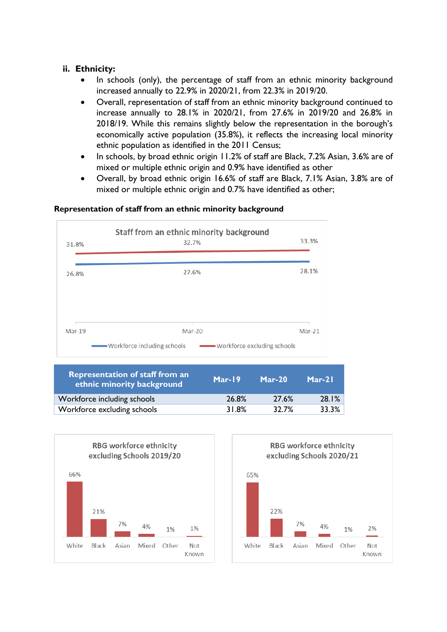### **ii. Ethnicity:**

- In schools (only), the percentage of staff from an ethnic minority background increased annually to 22.9% in 2020/21, from 22.3% in 2019/20.
- Overall, representation of staff from an ethnic minority background continued to increase annually to 28.1% in 2020/21, from 27.6% in 2019/20 and 26.8% in 2018/19. While this remains slightly below the representation in the borough's economically active population (35.8%), it reflects the increasing local minority ethnic population as identified in the 2011 Census;
- In schools, by broad ethnic origin 11.2% of staff are Black, 7.2% Asian, 3.6% are of mixed or multiple ethnic origin and 0.9% have identified as other
- Overall, by broad ethnic origin 16.6% of staff are Black, 7.1% Asian, 3.8% are of mixed or multiple ethnic origin and 0.7% have identified as other;

#### **Representation of staff from an ethnic minority background**

| 31.8%  | Staff from an ethnic minority background<br>32.7%               | 33.3%  |
|--------|-----------------------------------------------------------------|--------|
| 26.8%  | 27.6%                                                           | 28.1%  |
|        | Mar-20                                                          | Mar-21 |
| Mar-19 | ———— Workforce including schools<br>Workforce excluding schools |        |

| Representation of staff from an<br>ethnic minority background | Mar-19 | $Mar-20$ | $Mar-21$ |
|---------------------------------------------------------------|--------|----------|----------|
| Workforce including schools                                   | 26.8%  | 27.6%    | 28.1%    |
| Workforce excluding schools                                   | 31.8%  | 32.7%    | 33.3%    |



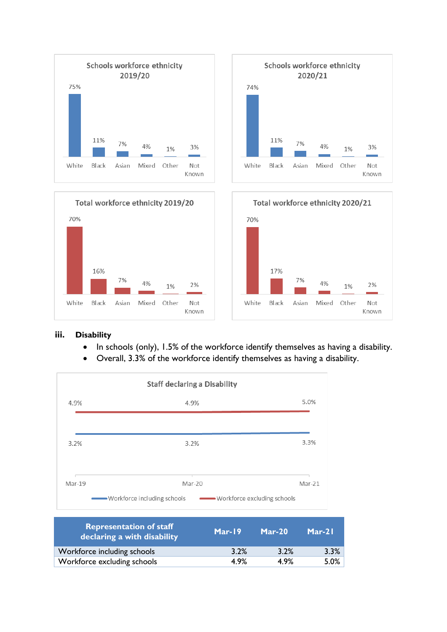



Black

Asian

Mixed

Other

Not

Known

White

• In schools (only), 1.5% of the workforce identify themselves as having a disability.

White

Black

Asian

Mixed

Other

Not

Known

• Overall, 3.3% of the workforce identify themselves as having a disability.



| <b>Representation of staff</b><br>declaring a with disability | Mar-19 | $Mar-20$ | $Mar-21$ |
|---------------------------------------------------------------|--------|----------|----------|
| Workforce including schools                                   | 3.2%   | 3.2%     | 3.3%     |
| Workforce excluding schools                                   | 4.9%   | 4.9%     | 5.0%     |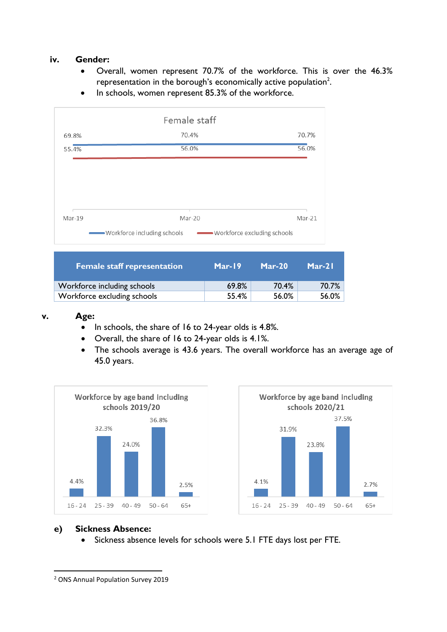### **iv. Gender:**

- Overall, women represent 70.7% of the workforce. This is over the 46.3% representation in the borough's economically active population<sup>2</sup>.
- In schools, women represent 85.3% of the workforce.



| <b>Female staff representation</b> | Mar-19 | $Mar-20$ | $Mar-21$ |
|------------------------------------|--------|----------|----------|
| Workforce including schools        | 69.8%  | 70.4%    | 70.7%    |
| Workforce excluding schools        | 55.4%  | 56.0%    | 56.0%    |

#### **v. Age:**

- In schools, the share of 16 to 24-year olds is 4.8%.
- Overall, the share of 16 to 24-year olds is 4.1%.
- The schools average is 43.6 years. The overall workforce has an average age of 45.0 years.





#### **e) Sickness Absence:**

• Sickness absence levels for schools were 5.1 FTE days lost per FTE.

<sup>2</sup> ONS Annual Population Survey 2019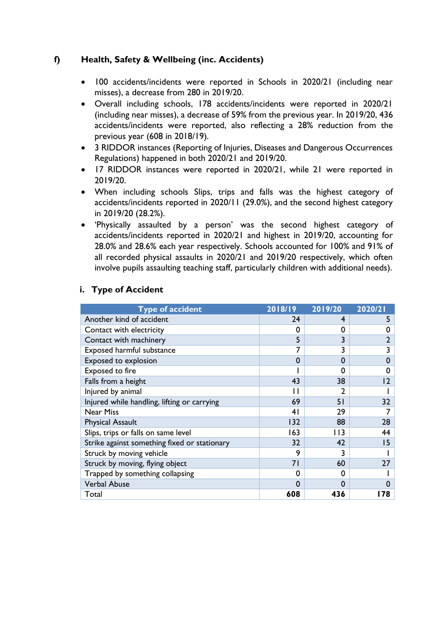### **f) Health, Safety & Wellbeing (inc. Accidents)**

- 100 accidents/incidents were reported in Schools in 2020/21 (including near misses), a decrease from 280 in 2019/20.
- Overall including schools, 178 accidents/incidents were reported in 2020/21 (including near misses), a decrease of 59% from the previous year. In 2019/20, 436 accidents/incidents were reported, also reflecting a 28% reduction from the previous year (608 in 2018/19).
- 3 RIDDOR instances (Reporting of Injuries, Diseases and Dangerous Occurrences Regulations) happened in both 2020/21 and 2019/20.
- 17 RIDDOR instances were reported in 2020/21, while 21 were reported in 2019/20.
- When including schools Slips, trips and falls was the highest category of accidents/incidents reported in 2020/11 (29.0%), and the second highest category in 2019/20 (28.2%).
- 'Physically assaulted by a person' was the second highest category of accidents/incidents reported in 2020/21 and highest in 2019/20, accounting for 28.0% and 28.6% each year respectively. Schools accounted for 100% and 91% of all recorded physical assaults in 2020/21 and 2019/20 respectively, which often involve pupils assaulting teaching staff, particularly children with additional needs).

| <b>Type of accident</b>                      | 2018/19         | 2019/20  | 2020/21 |
|----------------------------------------------|-----------------|----------|---------|
| Another kind of accident                     | 24              | 4        | 5       |
| Contact with electricity                     | 0               | 0        | 0       |
| Contact with machinery                       | 5               | 3        |         |
| Exposed harmful substance                    |                 | 3        |         |
| Exposed to explosion                         | $\Omega$        | $\Omega$ | 0       |
| Exposed to fire                              |                 | 0        | 0       |
| Falls from a height                          | 43              | 38       | 2       |
| Injured by animal                            |                 | 2        |         |
| Injured while handling, lifting or carrying  | 69              | 51       | 32      |
| <b>Near Miss</b>                             | 41              | 29       |         |
| <b>Physical Assault</b>                      | 132             | 88       | 28      |
| Slips, trips or falls on same level          | 163             | 113      | 44      |
| Strike against something fixed or stationary | 32 <sub>2</sub> | 42       | 15      |
| Struck by moving vehicle                     | 9               | 3        |         |
| Struck by moving, flying object              | 71              | 60       | 27      |
| Trapped by something collapsing              | 0               | 0        |         |
| <b>Verbal Abuse</b>                          | $\Omega$        | $\Omega$ |         |
| Total                                        | 608             | 436      | 78      |

### **i. Type of Accident**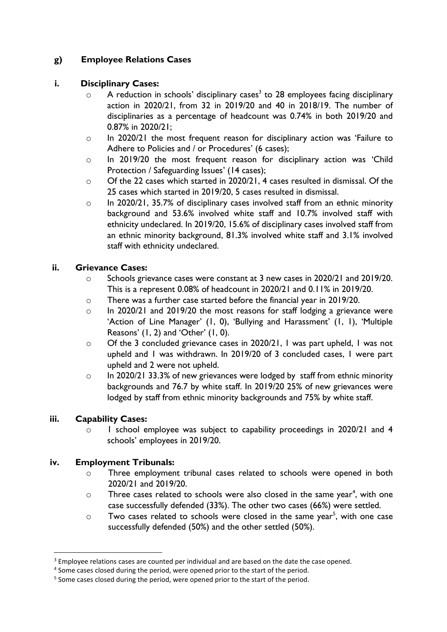# **g) Employee Relations Cases**

### **i. Disciplinary Cases:**

- $\circ$  A reduction in schools' disciplinary cases<sup>3</sup> to 28 employees facing disciplinary action in 2020/21, from 32 in 2019/20 and 40 in 2018/19. The number of disciplinaries as a percentage of headcount was 0.74% in both 2019/20 and 0.87% in 2020/21;
- o In 2020/21 the most frequent reason for disciplinary action was 'Failure to Adhere to Policies and / or Procedures' (6 cases);
- o In 2019/20 the most frequent reason for disciplinary action was 'Child Protection / Safeguarding Issues' (14 cases);
- o Of the 22 cases which started in 2020/21, 4 cases resulted in dismissal. Of the 25 cases which started in 2019/20, 5 cases resulted in dismissal.
- o In 2020/21, 35.7% of disciplinary cases involved staff from an ethnic minority background and 53.6% involved white staff and 10.7% involved staff with ethnicity undeclared. In 2019/20, 15.6% of disciplinary cases involved staff from an ethnic minority background, 81.3% involved white staff and 3.1% involved staff with ethnicity undeclared.

### **ii. Grievance Cases:**

- $\circ$  Schools grievance cases were constant at 3 new cases in 2020/21 and 2019/20. This is a represent 0.08% of headcount in 2020/21 and 0.11% in 2019/20.
- o There was a further case started before the financial year in 2019/20.
- o In 2020/21 and 2019/20 the most reasons for staff lodging a grievance were 'Action of Line Manager' (1, 0), 'Bullying and Harassment' (1, 1), 'Multiple Reasons' (1, 2) and 'Other' (1, 0).
- o Of the 3 concluded grievance cases in 2020/21, 1 was part upheld, 1 was not upheld and 1 was withdrawn. In 2019/20 of 3 concluded cases, 1 were part upheld and 2 were not upheld.
- o In 2020/21 33.3% of new grievances were lodged by staff from ethnic minority backgrounds and 76.7 by white staff. In 2019/20 25% of new grievances were lodged by staff from ethnic minority backgrounds and 75% by white staff.

# **iii. Capability Cases:**

o 1 school employee was subject to capability proceedings in 2020/21 and 4 schools' employees in 2019/20.

# **iv. Employment Tribunals:**

- o Three employment tribunal cases related to schools were opened in both 2020/21 and 2019/20.
- $\circ$  Three cases related to schools were also closed in the same year<sup>4</sup>, with one case successfully defended (33%). The other two cases (66%) were settled.
- $\circ$  Two cases related to schools were closed in the same year<sup>5</sup>, with one case successfully defended (50%) and the other settled (50%).

<sup>&</sup>lt;sup>3</sup> Employee relations cases are counted per individual and are based on the date the case opened.

<sup>&</sup>lt;sup>4</sup> Some cases closed during the period, were opened prior to the start of the period.

<sup>&</sup>lt;sup>5</sup> Some cases closed during the period, were opened prior to the start of the period.